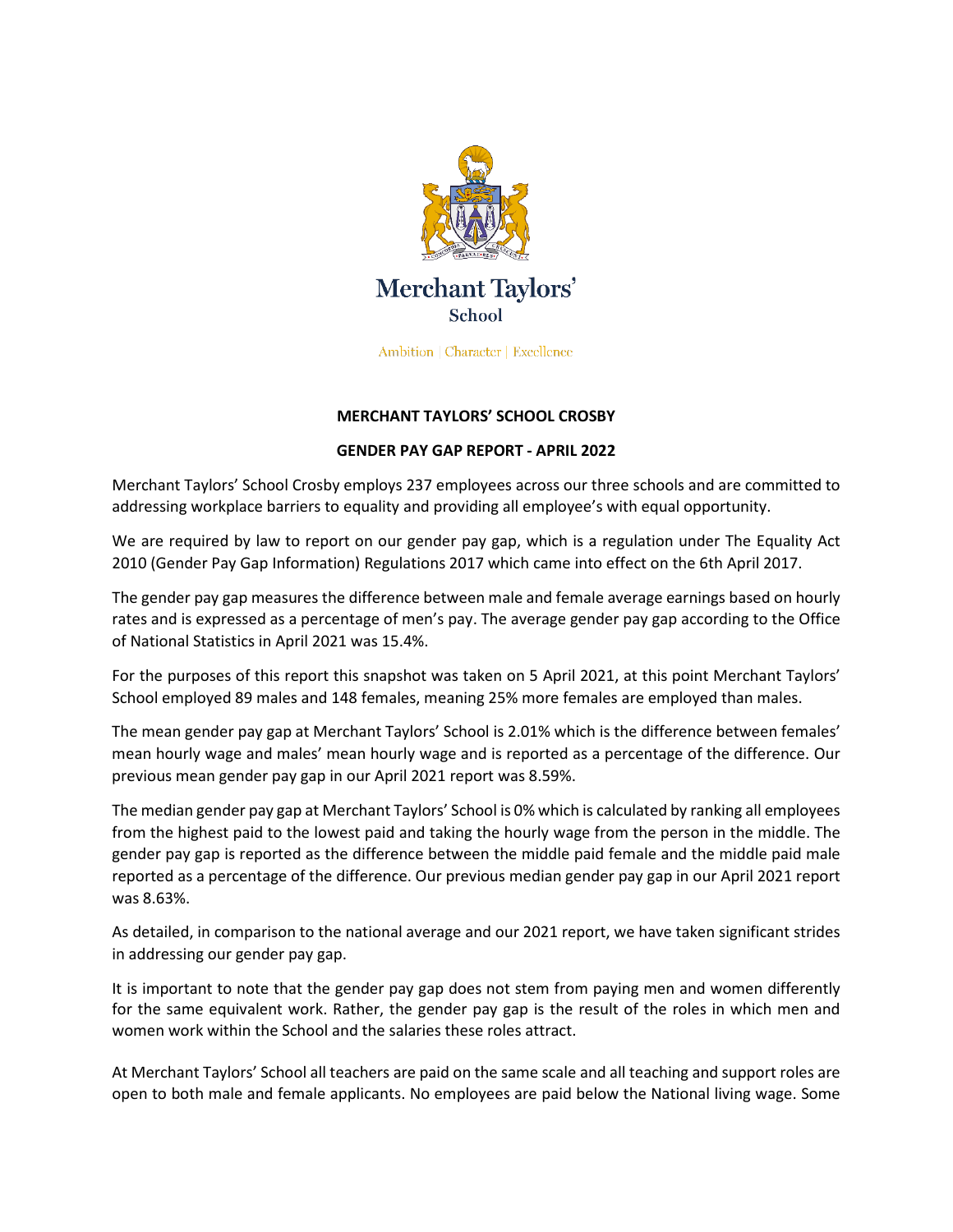

Ambition | Character | Excellence

## **MERCHANT TAYLORS' SCHOOL CROSBY**

## **GENDER PAY GAP REPORT - APRIL 2022**

Merchant Taylors' School Crosby employs 237 employees across our three schools and are committed to addressing workplace barriers to equality and providing all employee's with equal opportunity.

We are required by law to report on our gender pay gap, which is a regulation under The Equality Act 2010 (Gender Pay Gap Information) Regulations 2017 which came into effect on the 6th April 2017.

The gender pay gap measures the difference between male and female average earnings based on hourly rates and is expressed as a percentage of men's pay. The average gender pay gap according to the Office of National Statistics in April 2021 was 15.4%.

For the purposes of this report this snapshot was taken on 5 April 2021, at this point Merchant Taylors' School employed 89 males and 148 females, meaning 25% more females are employed than males.

The mean gender pay gap at Merchant Taylors' School is 2.01% which is the difference between females' mean hourly wage and males' mean hourly wage and is reported as a percentage of the difference. Our previous mean gender pay gap in our April 2021 report was 8.59%.

The median gender pay gap at Merchant Taylors' School is 0% which is calculated by ranking all employees from the highest paid to the lowest paid and taking the hourly wage from the person in the middle. The gender pay gap is reported as the difference between the middle paid female and the middle paid male reported as a percentage of the difference. Our previous median gender pay gap in our April 2021 report was 8.63%.

As detailed, in comparison to the national average and our 2021 report, we have taken significant strides in addressing our gender pay gap.

It is important to note that the gender pay gap does not stem from paying men and women differently for the same equivalent work. Rather, the gender pay gap is the result of the roles in which men and women work within the School and the salaries these roles attract.

At Merchant Taylors' School all teachers are paid on the same scale and all teaching and support roles are open to both male and female applicants. No employees are paid below the National living wage. Some